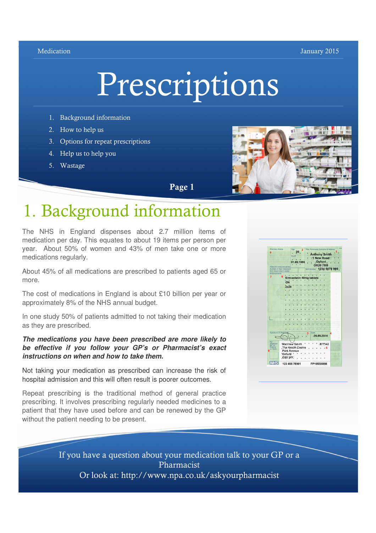#### Medication **Medication** January 2015

FF



- 1. Background information
- 2. How to help us
- 3. Options for repeat prescriptions
- 4. Help us to help you
- 5. Wastage



Page 1

# 1. Background information

The NHS in England dispenses about 2.7 million items of medication per day. This equates to about 19 items per person per year. About 50% of women and 43% of men take one or more medications regularly.

About 45% of all medications are prescribed to patients aged 65 or more.

The cost of medications in England is about £10 billion per year or approximately 8% of the NHS annual budget.

In one study 50% of patients admitted to not taking their medication as they are prescribed.

#### **The medications you have been prescribed are more likely to be effective if you follow your GP's or Pharmacist's exact instructions on when and how to take them.**

Not taking your medication as prescribed can increase the risk of hospital admission and this will often result is poorer outcomes.

Repeat prescribing is the traditional method of general practice prescribing. It involves prescribing regularly needed medicines to a patient that they have used before and can be renewed by the GP without the patient needing to be present.



If you have a question about your medication talk to your GP or a Pharmacist Or look at: http://www.npa.co.uk/askyourpharmacist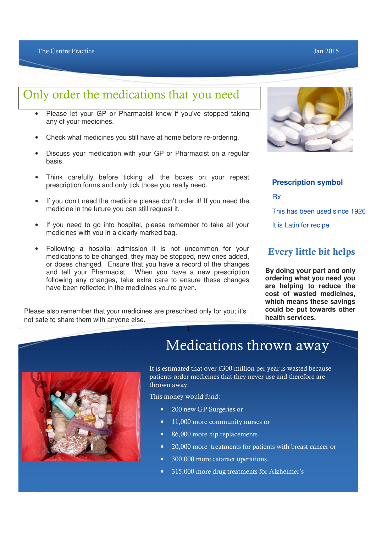## Only order the medications that you need

- Please let your GP or Pharmacist know if you've stopped taking any of your medicines.
- Check what medicines you still have at home before re-ordering.
- Discuss your medication with your GP or Pharmacist on a regular basis.
- Think carefully before ticking all the boxes on your repeat prescription forms and only tick those you really need.
- If you don't need the medicine please don't order it! If you need the medicine in the future you can still request it.
- If you need to go into hospital, please remember to take all your medicines with you in a clearly marked bag.
- Following a hospital admission it is not uncommon for your medications to be changed, they may be stopped, new ones added, or doses changed. Ensure that you have a record of the changes and tell your Pharmacist. When you have a new prescription following any changes, take extra care to ensure these changes have been reflected in the medicines you're given.

Please also remember that your medicines are prescribed only for you; it's not safe to share them with anyone else.



### **Prescription symbol**

Rx

This has been used since 1926

It is Latin for recipe

### Every little bit helps

**By doing your part and only ordering what you need you are helping to reduce the cost of wasted medicines, which means these savings could be put towards other health services.**



## Medications thrown away

It is estimated that over £300 million per year is wasted because patients order medicines that they never use and therefore are thrown away.

This money would fund:

I

- 200 new GP Surgeries or
- 11,000 more community nurses or
- 86,000 more hip replacements
- 20,000 more treatments for patients with breast cancer or
- 300,000 more cataract operations.
- 315,000 more drug treatments for Alzheimer's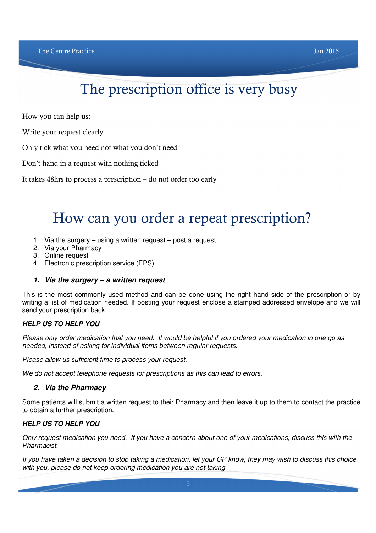# The prescription office is very busy

How you can help us:

Write your request clearly

Only tick what you need not what you don't need

Don't hand in a request with nothing ticked

It takes 48hrs to process a prescription – do not order too early

# How can you order a repeat prescription?

- 1. Via the surgery using a written request post a request
- 2. Via your Pharmacy
- 3. Online request
- 4. Electronic prescription service (EPS)

### **1. Via the surgery – a written request**

This is the most commonly used method and can be done using the right hand side of the prescription or by writing a list of medication needed. If posting your request enclose a stamped addressed envelope and we will send your prescription back.

### **HELP US TO HELP YOU**

Please only order medication that you need. It would be helpful if you ordered your medication in one go as needed, instead of asking for individual items between regular requests.

Please allow us sufficient time to process your request.

We do not accept telephone requests for prescriptions as this can lead to errors.

### **2. Via the Pharmacy**

Some patients will submit a written request to their Pharmacy and then leave it up to them to contact the practice to obtain a further prescription.

### **HELP US TO HELP YOU**

Only request medication you need. If you have a concern about one of your medications, discuss this with the Pharmacist.

If you have taken a decision to stop taking a medication, let your GP know, they may wish to discuss this choice with you, please do not keep ordering medication you are not taking.